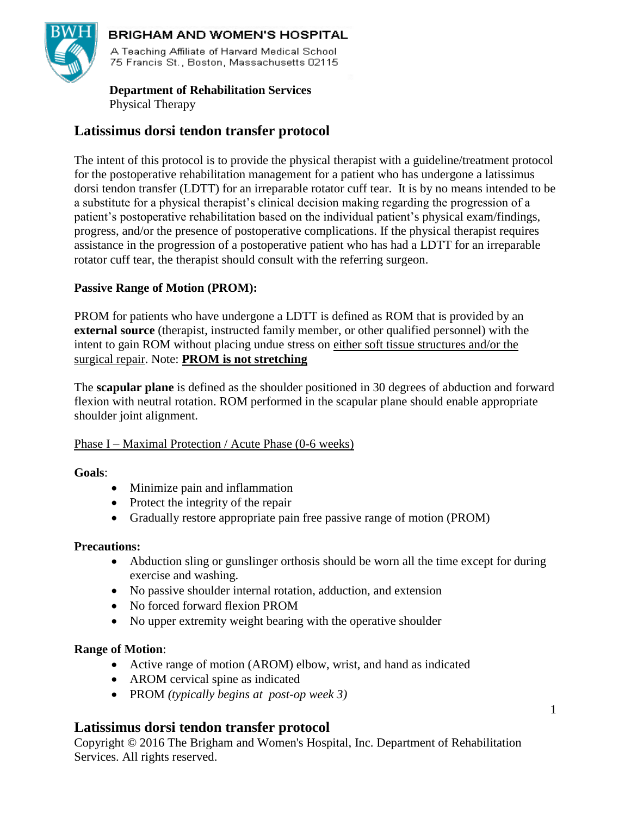

# **BRIGHAM AND WOMEN'S HOSPITAL**

A Teaching Affiliate of Harvard Medical School 75 Francis St., Boston, Massachusetts 02115

## **Department of Rehabilitation Services** Physical Therapy

# **Latissimus dorsi tendon transfer protocol**

The intent of this protocol is to provide the physical therapist with a guideline/treatment protocol for the postoperative rehabilitation management for a patient who has undergone a latissimus dorsi tendon transfer (LDTT) for an irreparable rotator cuff tear. It is by no means intended to be a substitute for a physical therapist's clinical decision making regarding the progression of a patient's postoperative rehabilitation based on the individual patient's physical exam/findings, progress, and/or the presence of postoperative complications. If the physical therapist requires assistance in the progression of a postoperative patient who has had a LDTT for an irreparable rotator cuff tear, the therapist should consult with the referring surgeon.

## **Passive Range of Motion (PROM):**

PROM for patients who have undergone a LDTT is defined as ROM that is provided by an **external source** (therapist, instructed family member, or other qualified personnel) with the intent to gain ROM without placing undue stress on either soft tissue structures and/or the surgical repair. Note: **PROM is not stretching**

The **scapular plane** is defined as the shoulder positioned in 30 degrees of abduction and forward flexion with neutral rotation. ROM performed in the scapular plane should enable appropriate shoulder joint alignment.

## Phase I – Maximal Protection / Acute Phase (0-6 weeks)

## **Goals**:

- Minimize pain and inflammation
- Protect the integrity of the repair
- Gradually restore appropriate pain free passive range of motion (PROM)

## **Precautions:**

- Abduction sling or gunslinger orthosis should be worn all the time except for during exercise and washing.
- No passive shoulder internal rotation, adduction, and extension
- No forced forward flexion PROM
- No upper extremity weight bearing with the operative shoulder

## **Range of Motion**:

- Active range of motion (AROM) elbow, wrist, and hand as indicated
- AROM cervical spine as indicated
- PROM *(typically begins at post-op week 3)*

# **Latissimus dorsi tendon transfer protocol**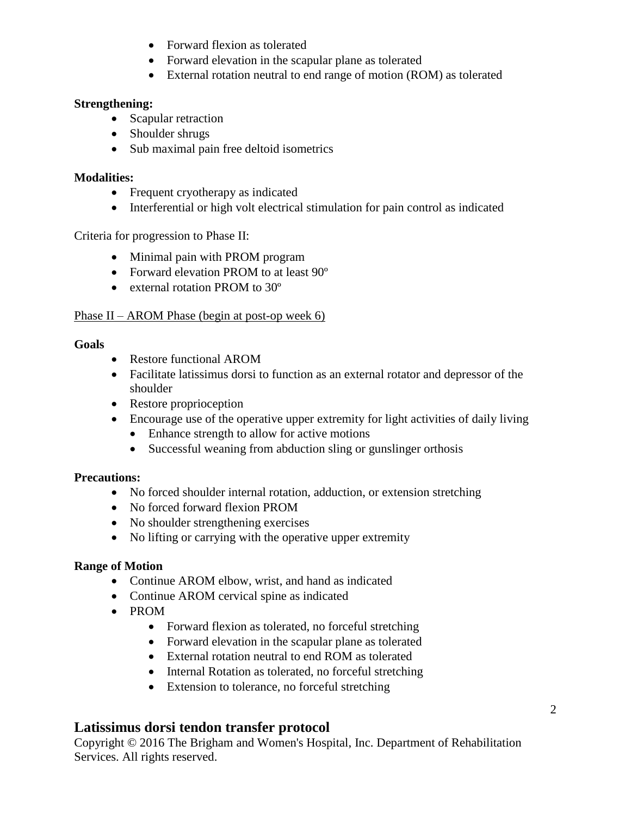- Forward flexion as tolerated
- Forward elevation in the scapular plane as tolerated
- External rotation neutral to end range of motion (ROM) as tolerated

## **Strengthening:**

- Scapular retraction
- Shoulder shrugs
- Sub maximal pain free deltoid isometrics

## **Modalities:**

- Frequent cryotherapy as indicated
- Interferential or high volt electrical stimulation for pain control as indicated

Criteria for progression to Phase II:

- Minimal pain with PROM program
- Forward elevation PROM to at least 90°
- external rotation PROM to 30<sup>o</sup>

### Phase II – AROM Phase (begin at post-op week 6)

#### **Goals**

- Restore functional AROM
- Facilitate latissimus dorsi to function as an external rotator and depressor of the shoulder
- Restore proprioception
- Encourage use of the operative upper extremity for light activities of daily living
	- Enhance strength to allow for active motions
	- Successful weaning from abduction sling or gunslinger orthosis

## **Precautions:**

- No forced shoulder internal rotation, adduction, or extension stretching
- No forced forward flexion PROM
- No shoulder strengthening exercises
- No lifting or carrying with the operative upper extremity

## **Range of Motion**

- Continue AROM elbow, wrist, and hand as indicated
- Continue AROM cervical spine as indicated
- PROM
	- Forward flexion as tolerated, no forceful stretching
	- Forward elevation in the scapular plane as tolerated
	- External rotation neutral to end ROM as tolerated
	- Internal Rotation as tolerated, no forceful stretching
	- Extension to tolerance, no forceful stretching

# **Latissimus dorsi tendon transfer protocol**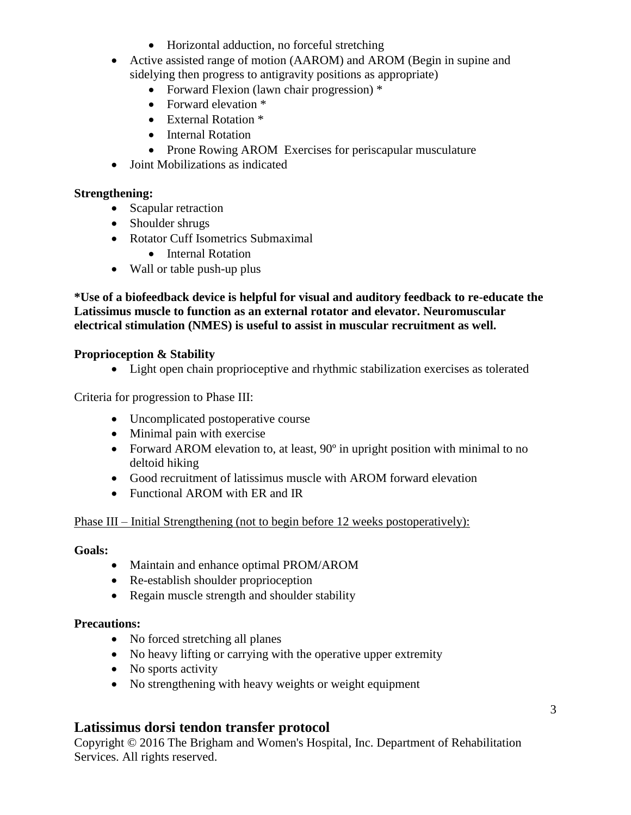- Horizontal adduction, no forceful stretching
- Active assisted range of motion (AAROM) and AROM (Begin in supine and sidelying then progress to antigravity positions as appropriate)
	- Forward Flexion (lawn chair progression) \*
	- Forward elevation \*
	- External Rotation \*
	- Internal Rotation
	- Prone Rowing AROM Exercises for periscapular musculature
- Joint Mobilizations as indicated

## **Strengthening:**

- Scapular retraction
- Shoulder shrugs
- Rotator Cuff Isometrics Submaximal
	- Internal Rotation
- Wall or table push-up plus

**\*Use of a biofeedback device is helpful for visual and auditory feedback to re-educate the Latissimus muscle to function as an external rotator and elevator. Neuromuscular electrical stimulation (NMES) is useful to assist in muscular recruitment as well.** 

#### **Proprioception & Stability**

• Light open chain proprioceptive and rhythmic stabilization exercises as tolerated

Criteria for progression to Phase III:

- Uncomplicated postoperative course
- Minimal pain with exercise
- Forward AROM elevation to, at least, 90<sup>°</sup> in upright position with minimal to no deltoid hiking
- Good recruitment of latissimus muscle with AROM forward elevation
- Functional AROM with ER and IR

### Phase III – Initial Strengthening (not to begin before 12 weeks postoperatively):

#### **Goals:**

- Maintain and enhance optimal PROM/AROM
- Re-establish shoulder proprioception
- Regain muscle strength and shoulder stability

#### **Precautions:**

- No forced stretching all planes
- No heavy lifting or carrying with the operative upper extremity
- No sports activity
- No strengthening with heavy weights or weight equipment

## **Latissimus dorsi tendon transfer protocol**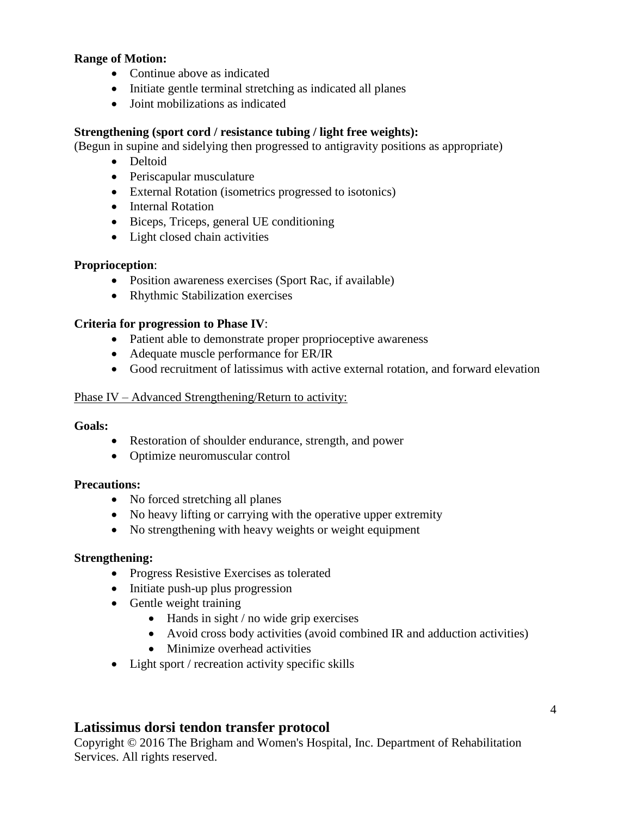### **Range of Motion:**

- Continue above as indicated
- Initiate gentle terminal stretching as indicated all planes
- Joint mobilizations as indicated

#### **Strengthening (sport cord / resistance tubing / light free weights):**

(Begun in supine and sidelying then progressed to antigravity positions as appropriate)

- Deltoid
- Periscapular musculature
- External Rotation (isometrics progressed to isotonics)
- Internal Rotation
- Biceps, Triceps, general UE conditioning
- Light closed chain activities

#### **Proprioception**:

- Position awareness exercises (Sport Rac, if available)
- Rhythmic Stabilization exercises

#### **Criteria for progression to Phase IV**:

- Patient able to demonstrate proper proprioceptive awareness
- Adequate muscle performance for ER/IR
- Good recruitment of latissimus with active external rotation, and forward elevation

#### Phase IV – Advanced Strengthening/Return to activity:

#### **Goals:**

- Restoration of shoulder endurance, strength, and power
- Optimize neuromuscular control

#### **Precautions:**

- No forced stretching all planes
- No heavy lifting or carrying with the operative upper extremity
- No strengthening with heavy weights or weight equipment

#### **Strengthening:**

- Progress Resistive Exercises as tolerated
- Initiate push-up plus progression
- Gentle weight training
	- $\bullet$  Hands in sight / no wide grip exercises
	- Avoid cross body activities (avoid combined IR and adduction activities)
	- Minimize overhead activities
- Light sport / recreation activity specific skills

## **Latissimus dorsi tendon transfer protocol**